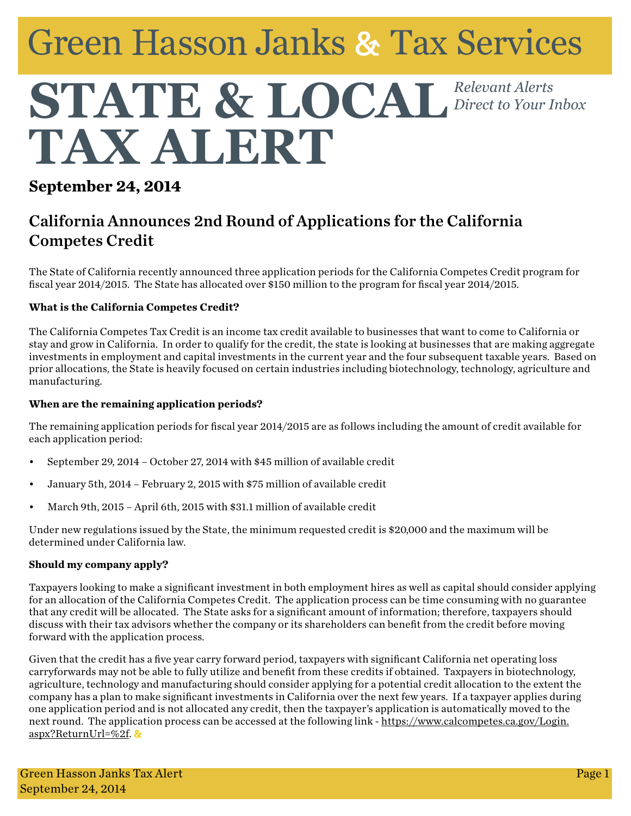# **Green Hasson Janks & Tax Services**

## STATE & LOCAL Relevant Alerts *Direct to Your Inbox* TAX ALERT

## **September 24, 2014**

## California Announces 2nd Round of Applications for the California Competes Credit

The State of California recently announced three application periods for the California Competes Credit program for fiscal year 2014/2015. The State has allocated over \$150 million to the program for fiscal year 2014/2015.

### **What is the California Competes Credit?**

The California Competes Tax Credit is an income tax credit available to businesses that want to come to California or stay and grow in California. In order to qualify for the credit, the state is looking at businesses that are making aggregate investments in employment and capital investments in the current year and the four subsequent taxable years. Based on prior allocations, the State is heavily focused on certain industries including biotechnology, technology, agriculture and manufacturing.

#### **When are the remaining application periods?**

The remaining application periods for fiscal year 2014/2015 are as follows including the amount of credit available for each application period:

- • September 29, 2014 October 27, 2014 with \$45 million of available credit
- • January 5th, 2014 February 2, 2015 with \$75 million of available credit
- March 9th, 2015 April 6th, 2015 with \$31.1 million of available credit

Under new regulations issued by the State, the minimum requested credit is \$20,000 and the maximum will be determined under California law.

### **Should my company apply?**

Taxpayers looking to make a significant investment in both employment hires as well as capital should consider applying for an allocation of the California Competes Credit. The application process can be time consuming with no guarantee that any credit will be allocated. The State asks for a significant amount of information; therefore, taxpayers should discuss with their tax advisors whether the company or its shareholders can benefit from the credit before moving forward with the application process.

Given that the credit has a five year carry forward period, taxpayers with significant California net operating loss carryforwards may not be able to fully utilize and benefit from these credits if obtained. Taxpayers in biotechnology, agriculture, technology and manufacturing should consider applying for a potential credit allocation to the extent the company has a plan to make significant investments in California over the next few years. If a taxpayer applies during one application period and is not allocated any credit, then the taxpayer's application is automatically moved to the next round. The application process can be accessed at the following link - [https://www.calcompetes.ca.gov/Login.](https://www.calcompetes.ca.gov/Login.aspx%3FReturnUrl%3D%252f) [aspx?ReturnUrl=%2f](https://www.calcompetes.ca.gov/Login.aspx%3FReturnUrl%3D%252f).